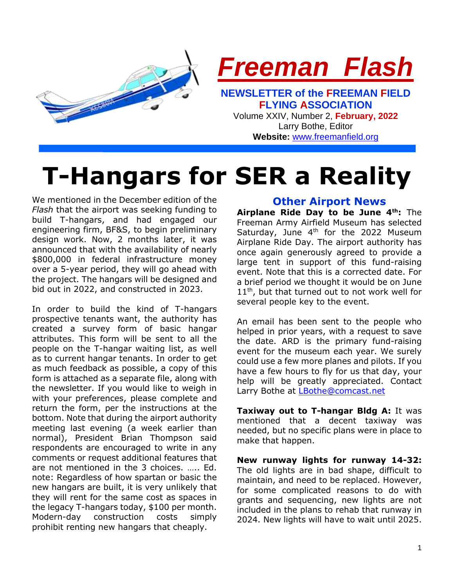

**Website:** [www.freemanfield.org](http://www.freemanfield.org/)

# **T-Hangars for SER a Reality**

We mentioned in the December edition of the *Flash* that the airport was seeking funding to build T-hangars, and had engaged our engineering firm, BF&S, to begin preliminary design work. Now, 2 months later, it was announced that with the availability of nearly \$800,000 in federal infrastructure money over a 5-year period, they will go ahead with the project. The hangars will be designed and bid out in 2022, and constructed in 2023.

In order to build the kind of T-hangars prospective tenants want, the authority has created a survey form of basic hangar attributes. This form will be sent to all the people on the T-hangar waiting list, as well as to current hangar tenants. In order to get as much feedback as possible, a copy of this form is attached as a separate file, along with the newsletter. If you would like to weigh in with your preferences, please complete and return the form, per the instructions at the bottom. Note that during the airport authority meeting last evening (a week earlier than normal), President Brian Thompson said respondents are encouraged to write in any comments or request additional features that are not mentioned in the 3 choices. ….. Ed. note: Regardless of how spartan or basic the new hangars are built, it is very unlikely that they will rent for the same cost as spaces in the legacy T-hangars today, \$100 per month. Modern-day construction costs simply prohibit renting new hangars that cheaply.

# **Other Airport News**

**Airplane Ride Day to be June 4th:** The Freeman Army Airfield Museum has selected Saturday, June  $4<sup>th</sup>$  for the 2022 Museum Airplane Ride Day. The airport authority has once again generously agreed to provide a large tent in support of this fund-raising event. Note that this is a corrected date. For a brief period we thought it would be on June  $11<sup>th</sup>$ , but that turned out to not work well for several people key to the event.

An email has been sent to the people who helped in prior years, with a request to save the date. ARD is the primary fund-raising event for the museum each year. We surely could use a few more planes and pilots. If you have a few hours to fly for us that day, your help will be greatly appreciated. Contact Larry Bothe at [LBothe@comcast.net](mailto:LBothe@comcast.net)

**Taxiway out to T-hangar Bldg A:** It was mentioned that a decent taxiway was needed, but no specific plans were in place to make that happen.

**New runway lights for runway 14-32:** The old lights are in bad shape, difficult to maintain, and need to be replaced. However, for some complicated reasons to do with grants and sequencing, new lights are not included in the plans to rehab that runway in 2024. New lights will have to wait until 2025.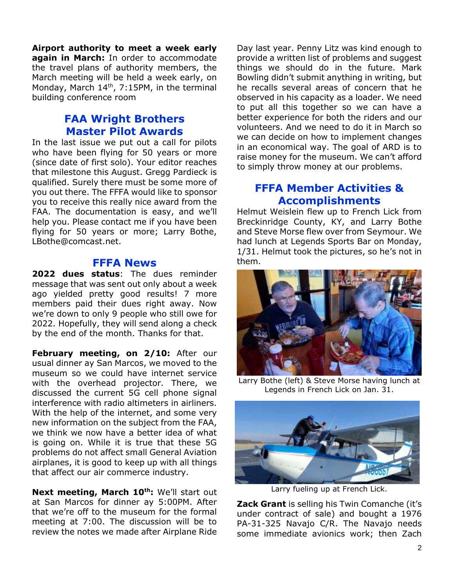**Airport authority to meet a week early again in March:** In order to accommodate the travel plans of authority members, the March meeting will be held a week early, on Monday, March 14<sup>th</sup>, 7:15PM, in the terminal building conference room

# **FAA Wright Brothers Master Pilot Awards**

In the last issue we put out a call for pilots who have been flying for 50 years or more (since date of first solo). Your editor reaches that milestone this August. Gregg Pardieck is qualified. Surely there must be some more of you out there. The FFFA would like to sponsor you to receive this really nice award from the FAA. The documentation is easy, and we'll help you. Please contact me if you have been flying for 50 years or more; Larry Bothe, LBothe@comcast.net.

#### **FFFA News**

**2022 dues status**: The dues reminder message that was sent out only about a week ago yielded pretty good results! 7 more members paid their dues right away. Now we're down to only 9 people who still owe for 2022. Hopefully, they will send along a check by the end of the month. Thanks for that.

**February meeting, on 2/10:** After our usual dinner ay San Marcos, we moved to the museum so we could have internet service with the overhead projector. There, we discussed the current 5G cell phone signal interference with radio altimeters in airliners. With the help of the internet, and some very new information on the subject from the FAA, we think we now have a better idea of what is going on. While it is true that these 5G problems do not affect small General Aviation airplanes, it is good to keep up with all things that affect our air commerce industry.

**Next meeting, March 10th:** We'll start out at San Marcos for dinner ay 5:00PM. After that we're off to the museum for the formal meeting at 7:00. The discussion will be to review the notes we made after Airplane Ride

Day last year. Penny Litz was kind enough to provide a written list of problems and suggest things we should do in the future. Mark Bowling didn't submit anything in writing, but he recalls several areas of concern that he observed in his capacity as a loader. We need to put all this together so we can have a better experience for both the riders and our volunteers. And we need to do it in March so we can decide on how to implement changes in an economical way. The goal of ARD is to raise money for the museum. We can't afford to simply throw money at our problems.

# **FFFA Member Activities & Accomplishments**

Helmut Weislein flew up to French Lick from Breckinridge County, KY, and Larry Bothe and Steve Morse flew over from Seymour. We had lunch at Legends Sports Bar on Monday, 1/31. Helmut took the pictures, so he's not in them.



Larry Bothe (left) & Steve Morse having lunch at Legends in French Lick on Jan. 31.



Larry fueling up at French Lick.

**Zack Grant** is selling his Twin Comanche (it's under contract of sale) and bought a 1976 PA-31-325 Navajo C/R. The Navajo needs some immediate avionics work; then Zach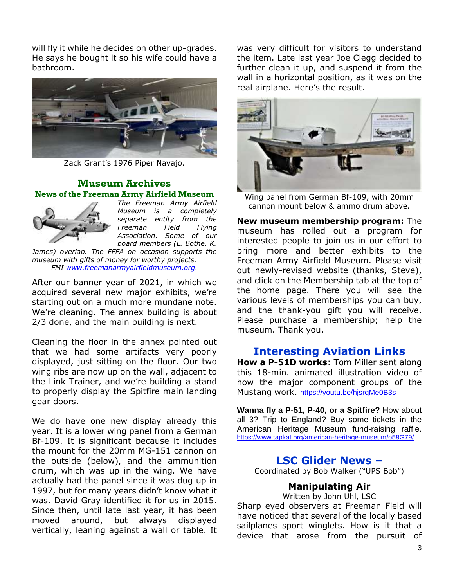will fly it while he decides on other up-grades. He says he bought it so his wife could have a bathroom.



Zack Grant's 1976 Piper Navajo.

#### **Museum Archives News of the Freeman Army Airfield Museum**



*The Freeman Army Airfield Museum is a completely separate entity from the Freeman Field Flying Association. Some of our board members (L. Bothe, K.* 

*James) overlap. The FFFA on occasion supports the museum with gifts of money for worthy projects. FMI [www.freemanarmyairfieldmuseum.org.](http://www.freemanarmyairfieldmuseum.org/)*

After our banner year of 2021, in which we acquired several new major exhibits, we're starting out on a much more mundane note. We're cleaning. The annex building is about 2/3 done, and the main building is next.

Cleaning the floor in the annex pointed out that we had some artifacts very poorly displayed, just sitting on the floor. Our two wing ribs are now up on the wall, adjacent to the Link Trainer, and we're building a stand to properly display the Spitfire main landing gear doors.

We do have one new display already this year. It is a lower wing panel from a German Bf-109. It is significant because it includes the mount for the 20mm MG-151 cannon on the outside (below), and the ammunition drum, which was up in the wing. We have actually had the panel since it was dug up in 1997, but for many years didn't know what it was. David Gray identified it for us in 2015. Since then, until late last year, it has been moved around, but always displayed vertically, leaning against a wall or table. It

was very difficult for visitors to understand the item. Late last year Joe Clegg decided to further clean it up, and suspend it from the wall in a horizontal position, as it was on the real airplane. Here's the result.



Wing panel from German Bf-109, with 20mm cannon mount below & ammo drum above.

**New museum membership program:** The museum has rolled out a program for interested people to join us in our effort to bring more and better exhibits to the Freeman Army Airfield Museum. Please visit out newly-revised website (thanks, Steve), and click on the Membership tab at the top of the home page. There you will see the various levels of memberships you can buy, and the thank-you gift you will receive. Please purchase a membership; help the museum. Thank you.

# **Interesting Aviation Links**

**How a P-51D works**: Tom Miller sent along this 18-min. animated illustration video of how the major component groups of the Mustang work. <https://youtu.be/hjsrqMe0B3s>

**Wanna fly a P-51, P-40, or a Spitfire?** How about all 3? Trip to England? Buy some tickets in the American Heritage Museum fund-raising raffle. <https://www.tapkat.org/american-heritage-museum/o58G79/>

## **LSC Glider News –**

Coordinated by Bob Walker ("UPS Bob")

#### **Manipulating Air**

Written by John Uhl, LSC

Sharp eyed observers at Freeman Field will have noticed that several of the locally based sailplanes sport winglets. How is it that a device that arose from the pursuit of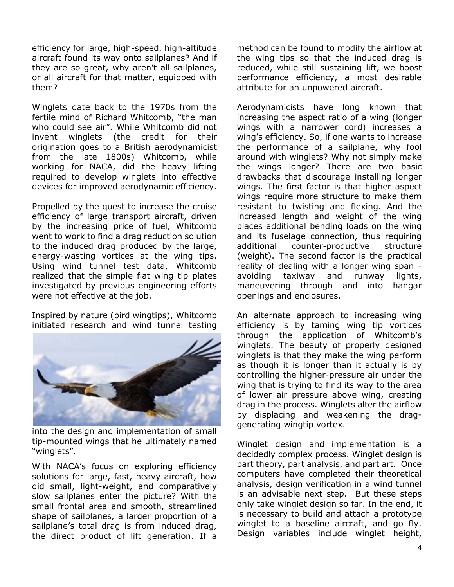efficiency for large, high-speed, high-altitude aircraft found its way onto sailplanes? And if they are so great, why aren't all sailplanes, or all aircraft for that matter, equipped with them?

Winglets date back to the 1970s from the fertile mind of Richard Whitcomb, "the man who could see air". While Whitcomb did not invent winglets (the credit for their origination goes to a British aerodynamicist from the late 1800s) Whitcomb, while working for NACA, did the heavy lifting required to develop winglets into effective devices for improved aerodynamic efficiency.

Propelled by the quest to increase the cruise efficiency of large transport aircraft, driven by the increasing price of fuel, Whitcomb went to work to find a drag reduction solution to the induced drag produced by the large, energy-wasting vortices at the wing tips. Using wind tunnel test data, Whitcomb realized that the simple flat wing tip plates investigated by previous engineering efforts were not effective at the job.

Inspired by nature (bird wingtips), Whitcomb initiated research and wind tunnel testing



into the design and implementation of small tip-mounted wings that he ultimately named "winglets".

With NACA's focus on exploring efficiency solutions for large, fast, heavy aircraft, how did small, light-weight, and comparatively slow sailplanes enter the picture? With the small frontal area and smooth, streamlined shape of sailplanes, a larger proportion of a sailplane's total drag is from induced drag, the direct product of lift generation. If a

method can be found to modify the airflow at the wing tips so that the induced drag is reduced, while still sustaining lift, we boost performance efficiency, a most desirable attribute for an unpowered aircraft.

Aerodynamicists have long known that increasing the aspect ratio of a wing (longer wings with a narrower cord) increases a wing's efficiency. So, if one wants to increase the performance of a sailplane, why fool around with winglets? Why not simply make the wings longer? There are two basic drawbacks that discourage installing longer wings. The first factor is that higher aspect wings require more structure to make them resistant to twisting and flexing. And the increased length and weight of the wing places additional bending loads on the wing and its fuselage connection, thus requiring additional counter-productive structure (weight). The second factor is the practical reality of dealing with a longer wing span avoiding taxiway and runway lights, maneuvering through and into hangar openings and enclosures.

An alternate approach to increasing wing efficiency is by taming wing tip vortices through the application of Whitcomb's winglets. The beauty of properly designed winglets is that they make the wing perform as though it is longer than it actually is by controlling the higher-pressure air under the wing that is trying to find its way to the area of lower air pressure above wing, creating drag in the process. Winglets alter the airflow by displacing and weakening the draggenerating wingtip vortex.

Winglet design and implementation is a decidedly complex process. Winglet design is part theory, part analysis, and part art. Once computers have completed their theoretical analysis, design verification in a wind tunnel is an advisable next step. But these steps only take winglet design so far. In the end, it is necessary to build and attach a prototype winglet to a baseline aircraft, and go fly. Design variables include winglet height,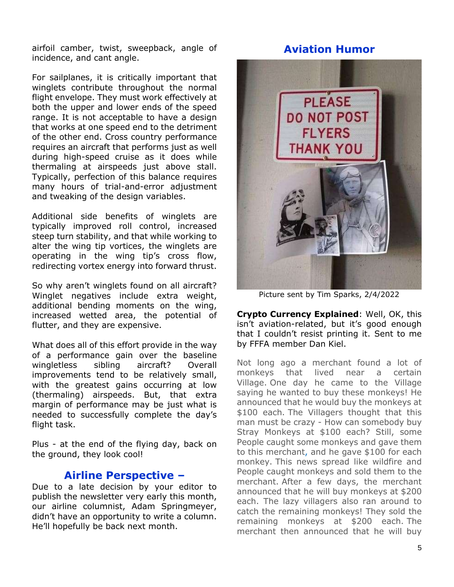airfoil camber, twist, sweepback, angle of incidence, and cant angle.

For sailplanes, it is critically important that winglets contribute throughout the normal flight envelope. They must work effectively at both the upper and lower ends of the speed range. It is not acceptable to have a design that works at one speed end to the detriment of the other end. Cross country performance requires an aircraft that performs just as well during high-speed cruise as it does while thermaling at airspeeds just above stall. Typically, perfection of this balance requires many hours of trial-and-error adjustment and tweaking of the design variables.

Additional side benefits of winglets are typically improved roll control, increased steep turn stability, and that while working to alter the wing tip vortices, the winglets are operating in the wing tip's cross flow, redirecting vortex energy into forward thrust.

So why aren't winglets found on all aircraft? Winglet negatives include extra weight, additional bending moments on the wing, increased wetted area, the potential of flutter, and they are expensive.

What does all of this effort provide in the way of a performance gain over the baseline wingletless sibling aircraft? Overall improvements tend to be relatively small, with the greatest gains occurring at low (thermaling) airspeeds. But, that extra margin of performance may be just what is needed to successfully complete the day's flight task.

Plus - at the end of the flying day, back on the ground, they look cool!

# **Airline Perspective –**

Due to a late decision by your editor to publish the newsletter very early this month, our airline columnist, Adam Springmeyer, didn't have an opportunity to write a column. He'll hopefully be back next month.

# **Aviation Humor**



Picture sent by Tim Sparks, 2/4/2022

**Crypto Currency Explained**: Well, OK, this isn't aviation-related, but it's good enough that I couldn't resist printing it. Sent to me by FFFA member Dan Kiel.

Not long ago a merchant found a lot of monkeys that lived near a certain Village. One day he came to the Village saying he wanted to buy these monkeys! He announced that he would buy the monkeys at \$100 each. The Villagers thought that this man must be crazy - How can somebody buy Stray Monkeys at \$100 each? Still, some People caught some monkeys and gave them to this merchant, and he gave \$100 for each monkey. This news spread like wildfire and People caught monkeys and sold them to the merchant. After a few days, the merchant announced that he will buy monkeys at \$200 each. The lazy villagers also ran around to catch the remaining monkeys! They sold the remaining monkeys at \$200 each. The merchant then announced that he will buy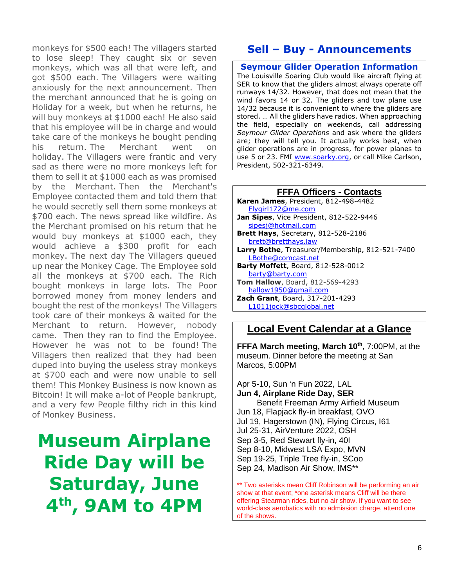monkeys for \$500 each! The villagers started to lose sleep! They caught six or seven monkeys, which was all that were left, and got \$500 each. The Villagers were waiting anxiously for the next announcement. Then the merchant announced that he is going on Holiday for a week, but when he returns, he will buy monkeys at \$1000 each! He also said that his employee will be in charge and would take care of the monkeys he bought pending his return. The Merchant went on holiday. The Villagers were frantic and very sad as there were no more monkeys left for them to sell it at \$1000 each as was promised by the Merchant. Then the Merchant's Employee contacted them and told them that he would secretly sell them some monkeys at \$700 each. The news spread like wildfire. As the Merchant promised on his return that he would buy monkeys at \$1000 each, they would achieve a \$300 profit for each monkey. The next day The Villagers queued up near the Monkey Cage. The Employee sold all the monkeys at \$700 each. The Rich bought monkeys in large lots. The Poor borrowed money from money lenders and bought the rest of the monkeys! The Villagers took care of their monkeys & waited for the Merchant to return. However, nobody came. Then they ran to find the Employee. However he was not to be found! The Villagers then realized that they had been duped into buying the useless stray monkeys at \$700 each and were now unable to sell them! This Monkey Business is now known as Bitcoin! It will make a-lot of People bankrupt, and a very few People filthy rich in this kind of Monkey Business.

# **Museum Airplane Ride Day will be Saturday, June 4th, 9AM to 4PM**

# **Sell – Buy - Announcements**

**Seymour Glider Operation Information** The Louisville Soaring Club would like aircraft flying at SER to know that the gliders almost always operate off runways 14/32. However, that does not mean that the wind favors 14 or 32. The gliders and tow plane use 14/32 because it is convenient to where the gliders are stored. … All the gliders have radios. When approaching the field, especially on weekends, call addressing *Seymour Glider Operations* and ask where the gliders are; they will tell you. It actually works best, when glider operations are in progress, for power planes to use 5 or 23. FMI [www.soarky.org,](http://www.soarky.org/) or call Mike Carlson, President, 502-321-6349.

| <b>FFFA Officers - Contacts</b>                         |
|---------------------------------------------------------|
| Karen James, President, 812-498-4482                    |
| Flygirl172@me.com                                       |
| Jan Sipes, Vice President, 812-522-9446                 |
| sipesj@hotmail.com                                      |
| <b>Brett Hays</b> , Secretary, 812-528-2186             |
| brett@bretthays.law                                     |
| <b>Larry Bothe</b> , Treasurer/Membership, 812-521-7400 |
| LBothe@comcast.net                                      |
| <b>Barty Moffett</b> , Board, 812-528-0012              |
| barty@barty.com                                         |
| Tom Hallow, Board, 812-569-4293                         |
| hallow1950@gmail.com                                    |
| Zach Grant, Board, 317-201-4293                         |
| L1011iock@sbcalobal.net                                 |

### **Local Event Calendar at a Glance**

**FFFA March meeting, March 10th**, 7:00PM, at the museum. Dinner before the meeting at San Marcos, 5:00PM

Apr 5-10, Sun 'n Fun 2022, LAL **Jun 4, Airplane Ride Day, SER** Benefit Freeman Army Airfield Museum Jun 18, Flapjack fly-in breakfast, OVO Jul 19, Hagerstown (IN), Flying Circus, I61 Jul 25-31, AirVenture 2022, OSH Sep 3-5, Red Stewart fly-in, 40I Sep 8-10, Midwest LSA Expo, MVN Sep 19-25, Triple Tree fly-in, SCoo Sep 24, Madison Air Show, IMS\*\*

\*\* Two asterisks mean Cliff Robinson will be performing an air show at that event; \*one asterisk means Cliff will be there offering Stearman rides, but no air show. If you want to see world-class aerobatics with no admission charge, attend one of the shows.